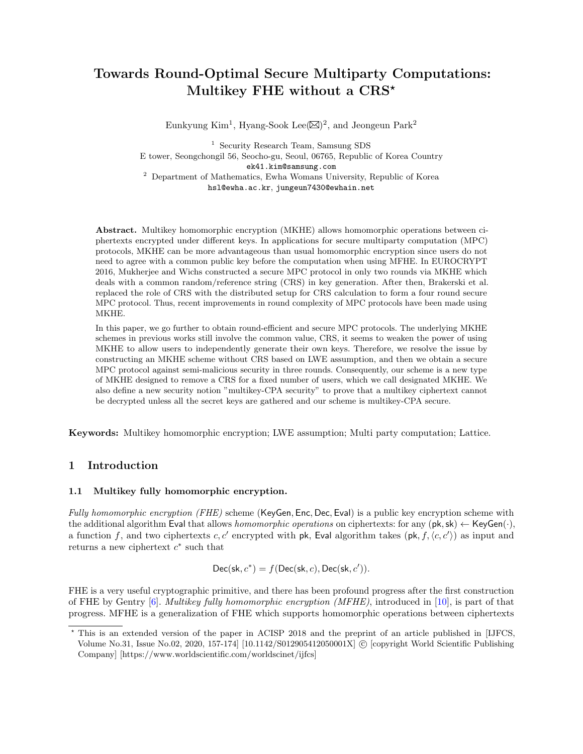# Towards Round-Optimal Secure Multiparty Computations: Multikey FHE without a CRS<sup>\*</sup>

Eunkyung Kim<sup>1</sup>, Hyang-Sook Lee $(\boxtimes)^2$ , and Jeongeun Park<sup>2</sup>

<sup>1</sup> Security Research Team, Samsung SDS E tower, Seongchongil 56, Seocho-gu, Seoul, 06765, Republic of Korea Country ek41.kim@samsung.com <sup>2</sup> Department of Mathematics, Ewha Womans University, Republic of Korea hsl@ewha.ac.kr, jungeun7430@ewhain.net

Abstract. Multikey homomorphic encryption (MKHE) allows homomorphic operations between ciphertexts encrypted under different keys. In applications for secure multiparty computation (MPC) protocols, MKHE can be more advantageous than usual homomorphic encryption since users do not need to agree with a common public key before the computation when using MFHE. In EUROCRYPT 2016, Mukherjee and Wichs constructed a secure MPC protocol in only two rounds via MKHE which deals with a common random/reference string (CRS) in key generation. After then, Brakerski et al. replaced the role of CRS with the distributed setup for CRS calculation to form a four round secure MPC protocol. Thus, recent improvements in round complexity of MPC protocols have been made using MKHE.

In this paper, we go further to obtain round-efficient and secure MPC protocols. The underlying MKHE schemes in previous works still involve the common value, CRS, it seems to weaken the power of using MKHE to allow users to independently generate their own keys. Therefore, we resolve the issue by constructing an MKHE scheme without CRS based on LWE assumption, and then we obtain a secure MPC protocol against semi-malicious security in three rounds. Consequently, our scheme is a new type of MKHE designed to remove a CRS for a fixed number of users, which we call designated MKHE. We also define a new security notion "multikey-CPA security" to prove that a multikey ciphertext cannot be decrypted unless all the secret keys are gathered and our scheme is multikey-CPA secure.

Keywords: Multikey homomorphic encryption; LWE assumption; Multi party computation; Lattice.

# 1 Introduction

## 1.1 Multikey fully homomorphic encryption.

Fully homomorphic encryption (FHE) scheme (KeyGen, Enc, Dec, Eval) is a public key encryption scheme with the additional algorithm Eval that allows *homomorphic operations* on ciphertexts: for any  $(\mathsf{pk}, \mathsf{sk}) \leftarrow \mathsf{KeyGen}(\cdot)$ , a function f, and two ciphertexts c, c' encrypted with pk, Eval algorithm takes (pk,  $f, \langle c, c' \rangle$ ) as input and returns a new ciphertext  $c^*$  such that

 $Dec(\mathsf{sk}, c^*) = f(Dec(\mathsf{sk}, c), Dec(\mathsf{sk}, c')).$ 

FHE is a very useful cryptographic primitive, and there has been profound progress after the first construction of FHE by Gentry  $[6]$ . Multikey fully homomorphic encryption (MFHE), introduced in  $[10]$ , is part of that progress. MFHE is a generalization of FHE which supports homomorphic operations between ciphertexts

<sup>?</sup> This is an extended version of the paper in ACISP 2018 and the preprint of an article published in [IJFCS, Volume No.31, Issue No.02, 2020, 157-174 [10.1142/S012905412050001X] © [copyright World Scientific Publishing Company] [https://www.worldscientific.com/worldscinet/ijfcs]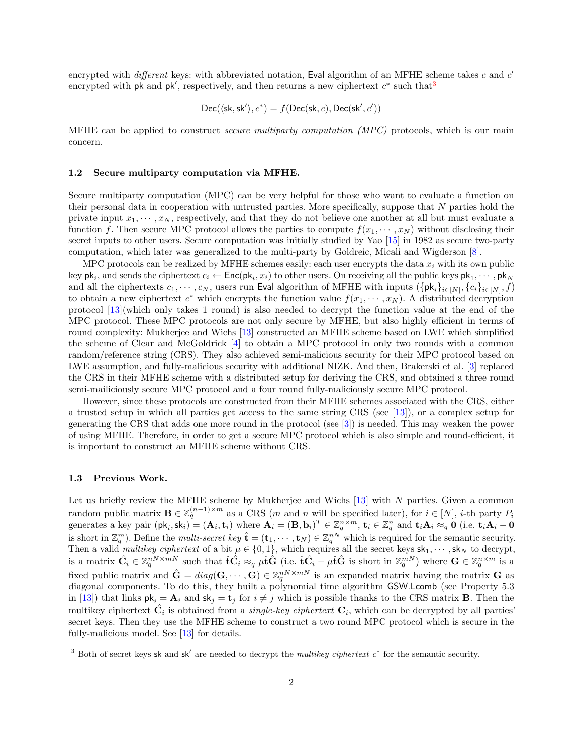encrypted with *different* keys: with abbreviated notation, Eval algorithm of an MFHE scheme takes  $c$  and  $c'$ encrypted with pk and pk', respectively, and then returns a new ciphertext  $c^*$  such that<sup>[3](#page-1-0)</sup>

$$
\mathsf{Dec}(\langle \mathsf{sk}, \mathsf{sk}' \rangle, c^*) = f(\mathsf{Dec}(\mathsf{sk}, c), \mathsf{Dec}(\mathsf{sk}', c'))
$$

MFHE can be applied to construct *secure multiparty computation (MPC)* protocols, which is our main concern.

#### 1.2 Secure multiparty computation via MFHE.

Secure multiparty computation (MPC) can be very helpful for those who want to evaluate a function on their personal data in cooperation with untrusted parties. More specifically, suppose that N parties hold the private input  $x_1, \dots, x_N$ , respectively, and that they do not believe one another at all but must evaluate a function f. Then secure MPC protocol allows the parties to compute  $f(x_1, \dots, x_N)$  without disclosing their secret inputs to other users. Secure computation was initially studied by Yao [\[15\]](#page-13-0) in 1982 as secure two-party computation, which later was generalized to the multi-party by Goldreic, Micali and Wigderson [\[8\]](#page-12-2).

MPC protocols can be realized by MFHE schemes easily: each user encrypts the data  $x_i$  with its own public key  $\mathsf{pk}_i$ , and sends the ciphertext  $c_i \leftarrow \mathsf{Enc}(\mathsf{pk}_i, x_i)$  to other users. On receiving all the public keys  $\mathsf{pk}_1, \cdots, \mathsf{pk}_N$ and all the ciphertexts  $c_1, \dots, c_N$ , users run Eval algorithm of MFHE with inputs  $(\{\mathsf{pk}_i\}_{i\in[N]}, \{c_i\}_{i\in[N]}, f)$ to obtain a new ciphertext  $c^*$  which encrypts the function value  $f(x_1, \dots, x_N)$ . A distributed decryption protocol [\[13\]](#page-13-1)(which only takes 1 round) is also needed to decrypt the function value at the end of the MPC protocol. These MPC protocols are not only secure by MFHE, but also highly efficient in terms of round complexity: Mukherjee and Wichs [\[13\]](#page-13-1) constructed an MFHE scheme based on LWE which simplified the scheme of Clear and McGoldrick [\[4\]](#page-12-3) to obtain a MPC protocol in only two rounds with a common random/reference string (CRS). They also achieved semi-malicious security for their MPC protocol based on LWE assumption, and fully-malicious security with additional NIZK. And then, Brakerski et al. [\[3\]](#page-12-4) replaced the CRS in their MFHE scheme with a distributed setup for deriving the CRS, and obtained a three round semi-mailiciously secure MPC protocol and a four round fully-maliciously secure MPC protocol.

However, since these protocols are constructed from their MFHE schemes associated with the CRS, either a trusted setup in which all parties get access to the same string CRS (see [\[13\]](#page-13-1)), or a complex setup for generating the CRS that adds one more round in the protocol (see [\[3\]](#page-12-4)) is needed. This may weaken the power of using MFHE. Therefore, in order to get a secure MPC protocol which is also simple and round-efficient, it is important to construct an MFHE scheme without CRS.

#### 1.3 Previous Work.

Let us briefly review the MFHE scheme by Mukherjee and Wichs [\[13\]](#page-13-1) with N parties. Given a common random public matrix  $\mathbf{B} \in \mathbb{Z}_q^{(n-1)\times m}$  as a CRS (m and n will be specified later), for  $i \in [N]$ , i-th party  $P_i$ generates a key pair  $(\mathsf{pk}_i, \mathsf{sk}_i) = (\mathbf{A}_i, \mathbf{t}_i)$  where  $\mathbf{A}_i = (\mathbf{B}, \mathbf{b}_i)^T \in \mathbb{Z}_q^{n \times m}$ ,  $\mathbf{t}_i \in \mathbb{Z}_q^n$  and  $\mathbf{t}_i \mathbf{A}_i \approx_q \mathbf{0}$  (i.e.  $\mathbf{t}_i \mathbf{A}_i - \mathbf{0}$ is short in  $\mathbb{Z}_q^m$ ). Define the *multi-secret key*  $\hat{\mathbf{t}} = (\mathbf{t}_1, \cdots, \mathbf{t}_N) \in \mathbb{Z}_q^{nN}$  which is required for the semantic security. Then a valid *multikey ciphertext* of a bit  $\mu \in \{0,1\}$ , which requires all the secret keys  $\mathsf{sk}_1, \cdots, \mathsf{sk}_N$  to decrypt, is a matrix  $\hat{\mathbf{C}}_i \in \mathbb{Z}_q^{n \times m \times m \times m}$  such that  $\hat{\mathbf{t}} \hat{\mathbf{C}}_i \approx_q \mu \hat{\mathbf{t}} \hat{\mathbf{G}}$  (i.e.  $\hat{\mathbf{t}} \hat{\mathbf{C}}_i - \mu \hat{\mathbf{t}} \hat{\mathbf{G}}$  is short in  $\mathbb{Z}_q^{m \times n}$ ) where  $\mathbf{G} \in \mathbb{Z}_q^{n \times m}$  is a fixed public matrix and  $\hat{\mathbf{G}} = diag(\mathbf{G}, \dots, \mathbf{G}) \in \mathbb{Z}_q^{nN \times mN}$  is an expanded matrix having the matrix  $\mathbf{G}$  as diagonal components. To do this, they built a polynomial time algorithm GSW.Lcomb (see Property 5.3 in [\[13\]](#page-13-1)) that links  $\mathsf{pk}_i = \mathbf{A}_i$  and  $\mathsf{sk}_j = \mathsf{t}_j$  for  $i \neq j$  which is possible thanks to the CRS matrix **B**. Then the multikey ciphertext  $\hat{C}_i$  is obtained from a *single-key ciphertext*  $C_i$ , which can be decrypted by all parties' secret keys. Then they use the MFHE scheme to construct a two round MPC protocol which is secure in the fully-malicious model. See [\[13\]](#page-13-1) for details.

<span id="page-1-0"></span><sup>&</sup>lt;sup>3</sup> Both of secret keys sk and sk<sup>'</sup> are needed to decrypt the multikey ciphertext  $c^*$  for the semantic security.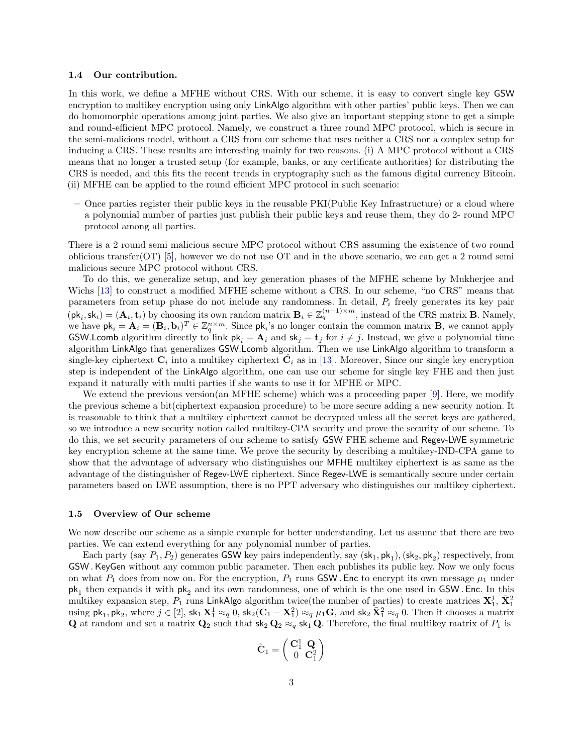#### 1.4 Our contribution.

In this work, we define a MFHE without CRS. With our scheme, it is easy to convert single key GSW encryption to multikey encryption using only LinkAlgo algorithm with other parties' public keys. Then we can do homomorphic operations among joint parties. We also give an important stepping stone to get a simple and round-efficient MPC protocol. Namely, we construct a three round MPC protocol, which is secure in the semi-malicious model, without a CRS from our scheme that uses neither a CRS nor a complex setup for inducing a CRS. These results are interesting mainly for two reasons. (i) A MPC protocol without a CRS means that no longer a trusted setup (for example, banks, or any certificate authorities) for distributing the CRS is needed, and this fits the recent trends in cryptography such as the famous digital currency Bitcoin. (ii) MFHE can be applied to the round efficient MPC protocol in such scenario:

– Once parties register their public keys in the reusable PKI(Public Key Infrastructure) or a cloud where a polynomial number of parties just publish their public keys and reuse them, they do 2- round MPC protocol among all parties.

There is a 2 round semi malicious secure MPC protocol without CRS assuming the existence of two round oblicious transfer(OT) [\[5\]](#page-12-5), however we do not use OT and in the above scenario, we can get a 2 round semimalicious secure MPC protocol without CRS.

To do this, we generalize setup, and key generation phases of the MFHE scheme by Mukherjee and Wichs [\[13\]](#page-13-1) to construct a modified MFHE scheme without a CRS. In our scheme, "no CRS" means that parameters from setup phase do not include any randomness. In detail,  $P_i$  freely generates its key pair  $(\mathsf{pk}_i, \mathsf{sk}_i) = (\mathbf{A}_i, \mathbf{t}_i)$  by choosing its own random matrix  $\mathbf{B}_i \in \mathbb{Z}_q^{(n-1)\times m}$ , instead of the CRS matrix **B**. Namely, we have  $\mathsf{pk}_i = \mathbf{A}_i = (\mathbf{B}_i, \mathbf{b}_i)^T \in \mathbb{Z}_q^{n \times m}$ . Since  $\mathsf{pk}_i$ 's no longer contain the common matrix **B**, we cannot apply GSW.Lcomb algorithm directly to link  $pk_i = A_i$  and  $sk_j = t_j$  for  $i \neq j$ . Instead, we give a polynomial time algorithm LinkAlgo that generalizes GSW.Lcomb algorithm. Then we use LinkAlgo algorithm to transform a single-key ciphertext  $C_i$  into a multikey ciphertext  $\hat{C}_i$  as in [\[13\]](#page-13-1). Moreover, Since our single key encryption step is independent of the LinkAlgo algorithm, one can use our scheme for single key FHE and then just expand it naturally with multi parties if she wants to use it for MFHE or MPC.

We extend the previous version(an MFHE scheme) which was a proceeding paper [\[9\]](#page-12-6). Here, we modify the previous scheme a bit(ciphertext expansion procedure) to be more secure adding a new security notion. It is reasonable to think that a multikey ciphertext cannot be decrypted unless all the secret keys are gathered, so we introduce a new security notion called multikey-CPA security and prove the security of our scheme. To do this, we set security parameters of our scheme to satisfy GSW FHE scheme and Regev-LWE symmetric key encryption scheme at the same time. We prove the security by describing a multikey-IND-CPA game to show that the advantage of adversary who distinguishes our MFHE multikey ciphertext is as same as the advantage of the distinguisher of Regev-LWE ciphertext. Since Regev-LWE is semantically secure under certain parameters based on LWE assumption, there is no PPT adversary who distinguishes our multikey ciphertext.

#### 1.5 Overview of Our scheme

We now describe our scheme as a simple example for better understanding. Let us assume that there are two parties. We can extend everything for any polynomial number of parties.

Each party (say  $P_1, P_2$ ) generates GSW key pairs independently, say  $(\mathsf{sk}_1, \mathsf{pk}_1), (\mathsf{sk}_2, \mathsf{pk}_2)$  respectively, from GSW .KeyGen without any common public parameter. Then each publishes its public key. Now we only focus on what  $P_1$  does from now on. For the encryption,  $P_1$  runs GSW. Enc to encrypt its own message  $\mu_1$  under  $pk<sub>1</sub>$  then expands it with  $pk<sub>2</sub>$  and its own randomness, one of which is the one used in GSW. Enc. In this multikey expansion step,  $P_1$  runs LinkAlgo algorithm twice(the number of parties) to create matrices  $\mathbf{X}_1^j$ ,  $\bar{\mathbf{X}}_1^2$ using  $\mathsf{pk}_1, \mathsf{pk}_2$ , where  $j \in [2]$ ,  $\mathsf{sk}_1 \mathbf{X}_1^1 \approx_q 0$ ,  $\mathsf{sk}_2(\mathbf{C}_1 - \mathbf{X}_1^2) \approx_q \mu_1 \mathbf{G}$ , and  $\mathsf{sk}_2 \mathbf{X}_1^2 \approx_q 0$ . Then it chooses a matrix Q at random and set a matrix  $Q_2$  such that  $sk_2 Q_2 \approx_q sk_1 Q$ . Therefore, the final multikey matrix of  $P_1$  is

$$
\hat{\mathbf{C}}_1 = \left(\begin{array}{cc} \mathbf{C}_1^1 & \mathbf{Q} \\ 0 & \mathbf{C}_1^2 \end{array}\right)
$$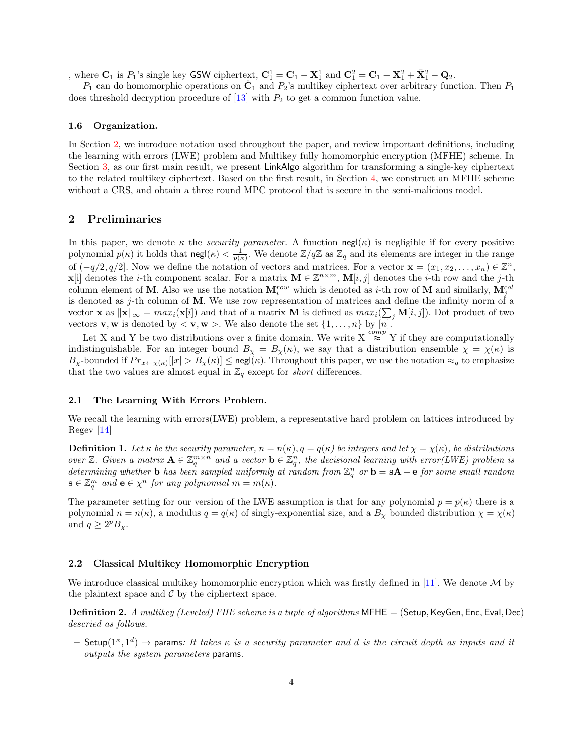, where  $\mathbf{C}_1$  is  $P_1$ 's single key GSW ciphertext,  $\mathbf{C}_1^1 = \mathbf{C}_1 - \mathbf{X}_1^1$  and  $\mathbf{C}_1^2 = \mathbf{C}_1 - \mathbf{X}_1^2 + \bar{\mathbf{X}}_1^2 - \mathbf{Q}_2$ .

 $P_1$  can do homomorphic operations on  $\hat{\mathbf{C}}_1$  and  $P_2$ 's multikey ciphertext over arbitrary function. Then  $P_1$ does threshold decryption procedure of  $[13]$  with  $P_2$  to get a common function value.

#### 1.6 Organization.

In Section [2,](#page-3-0) we introduce notation used throughout the paper, and review important definitions, including the learning with errors (LWE) problem and Multikey fully homomorphic encryption (MFHE) scheme. In Section [3,](#page-5-0) as our first main result, we present LinkAlgo algorithm for transforming a single-key ciphertext to the related multikey ciphertext. Based on the first result, in Section [4,](#page-10-0) we construct an MFHE scheme without a CRS, and obtain a three round MPC protocol that is secure in the semi-malicious model.

## <span id="page-3-0"></span>2 Preliminaries

In this paper, we denote  $\kappa$  the *security parameter*. A function negl( $\kappa$ ) is negligible if for every positive polynomial  $p(\kappa)$  it holds that negl $(\kappa) < \frac{1}{p(\kappa)}$ . We denote  $\mathbb{Z}/q\mathbb{Z}$  as  $\mathbb{Z}_q$  and its elements are integer in the range of  $(-q/2, q/2]$ . Now we define the notation of vectors and matrices. For a vector  $\mathbf{x} = (x_1, x_2, \ldots, x_n) \in \mathbb{Z}^n$ , **x**[i] denotes the *i*-th component scalar. For a matrix  $\mathbf{M} \in \mathbb{Z}^{n \times m}$ ,  $\mathbf{M}[i, j]$  denotes the *i*-th row and the *j*-th column element of M. Also we use the notation  $M_i^{row}$  which is denoted as *i*-th row of M and similarly,  $M_j^{col}$ is denoted as j-th column of M. We use row representation of matrices and define the infinity norm of a vector **x** as  $\|\mathbf{x}\|_{\infty} = max_i(\mathbf{x}[i])$  and that of a matrix **M** is defined as  $max_i(\sum_j \mathbf{M}[i,j])$ . Dot product of two vectors **v**, **w** is denoted by  $\langle$  **v**, **w**  $\rangle$ . We also denote the set  $\{1, \ldots, n\}$  by  $[n]$ .

Let X and Y be two distributions over a finite domain. We write  $X \stackrel{comp}{\approx} Y$  if they are computationally indistinguishable. For an integer bound  $B_{\chi} = B_{\chi}(\kappa)$ , we say that a distribution ensemble  $\chi = \chi(\kappa)$  is  $B_{\chi}$ -bounded if  $Pr_{x \leftarrow \chi(\kappa)}[|x| > B_{\chi}(\kappa)] \leq$  negl( $\kappa$ ). Throughout this paper, we use the notation  $\approx_q$  to emphasize that the two values are almost equal in  $\mathbb{Z}_q$  except for *short* differences.

#### 2.1 The Learning With Errors Problem.

We recall the learning with errors(LWE) problem, a representative hard problem on lattices introduced by Regev [\[14\]](#page-13-2)

**Definition 1.** Let  $\kappa$  be the security parameter,  $n = n(\kappa)$ ,  $q = q(\kappa)$  be integers and let  $\chi = \chi(\kappa)$ , be distributions over Z. Given a matrix  $\mathbf{A} \in \mathbb{Z}_q^{m \times n}$  and a vector  $\mathbf{b} \in \mathbb{Z}_q^n$ , the decisional learning with error(LWE) problem is determining whether **b** has been sampled uniformly at random from  $\mathbb{Z}_q^n$  or **b** = **sA** + **e** for some small random  $\mathbf{s} \in \mathbb{Z}_q^m$  and  $\mathbf{e} \in \chi^n$  for any polynomial  $m = m(\kappa)$ .

The parameter setting for our version of the LWE assumption is that for any polynomial  $p = p(\kappa)$  there is a polynomial  $n = n(\kappa)$ , a modulus  $q = q(\kappa)$  of singly-exponential size, and a  $B_\chi$  bounded distribution  $\chi = \chi(\kappa)$ and  $q \geq 2^p B_\chi$ .

#### 2.2 Classical Multikey Homomorphic Encryption

We introduce classical multikey homomorphic encryption which was firstly defined in [\[11\]](#page-12-7). We denote  $\cal{M}$  by the plaintext space and  $\mathcal C$  by the ciphertext space.

**Definition 2.** A multikey (Leveled) FHE scheme is a tuple of algorithms  $M$ FHE = (Setup, KeyGen, Enc, Eval, Dec) descried as follows.

 $-$  Setup $(1^{\kappa}, 1^d)$   $\rightarrow$  params: It takes  $\kappa$  is a security parameter and d is the circuit depth as inputs and it outputs the system parameters params.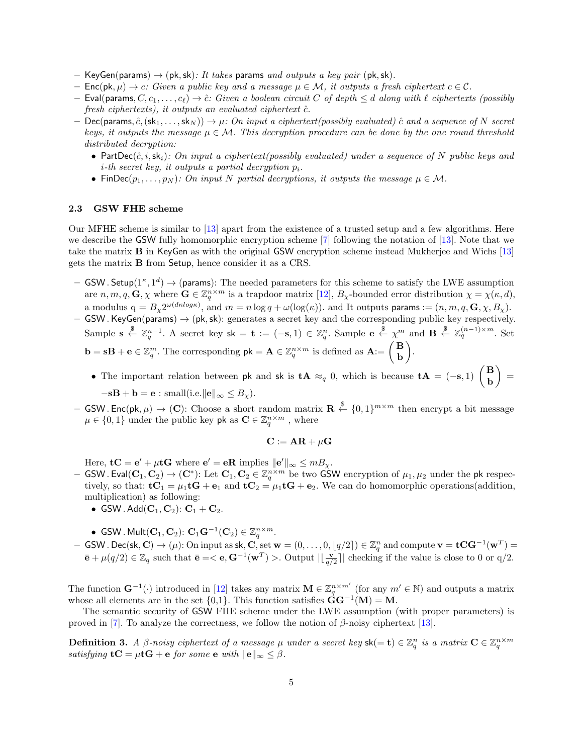- KeyGen(params)  $\rightarrow$  (pk, sk): It takes params and outputs a key pair (pk, sk).
- Enc(pk,  $\mu$ )  $\rightarrow$  c: Given a public key and a message  $\mu \in \mathcal{M}$ , it outputs a fresh ciphertext  $c \in \mathcal{C}$ .
- Eval(params,  $C, c_1, \ldots, c_\ell$ )  $\to \hat{c}: Given\ a\ boolean\ circuit\ C\ of\ depth \leq d\ along\ with\ \ell\ ciphertexts$  (possibly fresh ciphertexts), it outputs an evaluated ciphertext  $\hat{c}$ .
- $-$  Dec(params,  $\hat{c}$ ,  $(\text{sk}_1, \ldots, \text{sk}_N)$ )  $\rightarrow \mu$ : On input a ciphertext(possibly evaluated)  $\hat{c}$  and a sequence of N secret keys, it outputs the message  $\mu \in \mathcal{M}$ . This decryption procedure can be done by the one round threshold distributed decryption:
	- PartDec( $\hat{c}, i, sk_i$ ): On input a ciphertext(possibly evaluated) under a sequence of N public keys and  $i$ -th secret key, it outputs a partial decryption  $p_i$ .
	- FinDec( $p_1, \ldots, p_N$ ): On input N partial decryptions, it outputs the message  $\mu \in \mathcal{M}$ .

## 2.3 GSW FHE scheme

Our MFHE scheme is similar to [\[13\]](#page-13-1) apart from the existence of a trusted setup and a few algorithms. Here we describe the GSW fully homomorphic encryption scheme [\[7\]](#page-12-8) following the notation of [\[13\]](#page-13-1). Note that we take the matrix B in KeyGen as with the original GSW encryption scheme instead Mukherjee and Wichs [\[13\]](#page-13-1) gets the matrix B from Setup, hence consider it as a CRS.

- $-$  GSW. Setup $(1^{\kappa}, 1^d) \rightarrow$  (params): The needed parameters for this scheme to satisfy the LWE assumption are  $n, m, q, G, \chi$  where  $G \in \mathbb{Z}_q^{n \times m}$  is a trapdoor matrix [\[12\]](#page-12-9),  $B_{\chi}$ -bounded error distribution  $\chi = \chi(\kappa, d)$ , a modulus  $q = B_{\chi} 2^{\omega(d\kappa log \kappa)}$ , and  $m = n \log q + \omega(\log(\kappa))$ . and It outputs params :=  $(n, m, q, \mathbf{G}, \chi, B_{\chi})$ .
- $-$  GSW. KeyGen(params)  $\rightarrow$  (pk, sk): generates a secret key and the corresponding public key respectively. Sample  $\mathbf{s} \stackrel{\$}{\leftarrow} \mathbb{Z}_q^{n-1}$ . A secret key  $\mathbf{s}\mathbf{k} = \mathbf{t} := (-\mathbf{s}, 1) \in \mathbb{Z}_q^n$ . Sample  $\mathbf{e} \stackrel{\$}{\leftarrow} \chi^m$  and  $\mathbf{B} \stackrel{\$}{\leftarrow} \mathbb{Z}_q^{(n-1)\times m}$ . Set  $\mathbf{b} = s\mathbf{B} + \mathbf{e} \in \mathbb{Z}_q^m$ . The corresponding  $\mathsf{pk} = \mathbf{A} \in \mathbb{Z}_q^{n \times m}$  is defined as  $\mathbf{A} := \begin{pmatrix} \mathbf{B} \\ \mathbf{B} \end{pmatrix}$ b .
	- The important relation between pk and sk is  $\mathbf{t} \mathbf{A} \approx_q 0$ , which is because  $\mathbf{t} \mathbf{A} = (-s, 1) \begin{pmatrix} \mathbf{B} \\ \mathbf{B} \end{pmatrix}$ b  $=$  $-\mathbf{s} \mathbf{B} + \mathbf{b} = \mathbf{e} : \text{small}(i.e.||\mathbf{e}||_{\infty} \leq B_{\chi}).$
- GSW. Enc(pk,  $\mu$ )  $\rightarrow$  (C): Choose a short random matrix  $\mathbf{R} \stackrel{\$}{\leftarrow} \{0,1\}^{m \times m}$  then encrypt a bit message  $\mu \in \{0, 1\}$  under the public key pk as  $\mathbf{C} \in \mathbb{Z}_q^{n \times m}$ , where

$$
\mathbf{C} := \mathbf{AR} + \mu \mathbf{G}
$$

Here,  $\mathbf{t} \mathbf{C} = \mathbf{e}' + \mu \mathbf{t} \mathbf{G}$  where  $\mathbf{e}' = \mathbf{e} \mathbf{R}$  implies  $\|\mathbf{e}'\|_{\infty} \leq m B_{\chi}$ .

- − GSW . Eval(C<sub>1</sub>, C<sub>2</sub>) → (C\*): Let C<sub>1</sub>, C<sub>2</sub> ∈ Zn<sup>xm</sup> be two GSW encryption of  $\mu_1, \mu_2$  under the pk respectively, so that:  $\mathbf{t}C_1 = \mu_1 \mathbf{t}G + \mathbf{e}_1$  and  $\mathbf{t}C_2 = \mu_1 \mathbf{t}G + \mathbf{e}_2$ . We can do homomorphic operations(addition, multiplication) as following:
	- GSW. Add $(\mathbf{C}_1, \mathbf{C}_2)$ :  $\mathbf{C}_1 + \mathbf{C}_2$ .
	- GSW. Mult $(\mathbf{C}_1, \mathbf{C}_2)$ :  $\mathbf{C}_1 \mathbf{G}^{-1}(\mathbf{C}_2) \in \mathbb{Z}_q^{n \times m}$ .
- $-$  GSW . Dec(sk, C) → (μ): On input as sk, C, set  $w = (0, ..., 0, \lfloor q/2 \rfloor) \in \mathbb{Z}_q^n$  and compute  $\mathbf{v} = \mathbf{t} \mathbf{C} \mathbf{G}^{-1}(\mathbf{w}^T) =$  $\bar{\mathbf{e}} + \mu(q/2) \in \mathbb{Z}_q$  such that  $\bar{\mathbf{e}} = <\mathbf{e}, \mathbf{G}^{-1}(\mathbf{w}^T) >$ . Output  $|\lfloor \frac{\mathbf{v}}{q/2} \rfloor|$  checking if the value is close to 0 or q/2.

The function  $\mathbf{G}^{-1}(\cdot)$  introduced in [\[12\]](#page-12-9) takes any matrix  $\mathbf{M} \in \mathbb{Z}_q^{n \times m'}$  (for any  $m' \in \mathbb{N}$ ) and outputs a matrix whose all elements are in the set  ${0,1}$ . This function satisfies  $\dot{G}G^{-1}(M) = M$ .

The semantic security of GSW FHE scheme under the LWE assumption (with proper parameters) is proved in [\[7\]](#page-12-8). To analyze the correctness, we follow the notion of  $\beta$ -noisy ciphertext [\[13\]](#page-13-1).

**Definition 3.** A  $\beta$ -noisy ciphertext of a message  $\mu$  under a secret key  $\mathsf{sk} (= \mathbf{t}) \in \mathbb{Z}_q^n$  is a matrix  $\mathbf{C} \in \mathbb{Z}_q^{n \times m}$ satisfying  $tC = \mu tG + e$  for some  $e$  with  $||e||_{\infty} \leq \beta$ .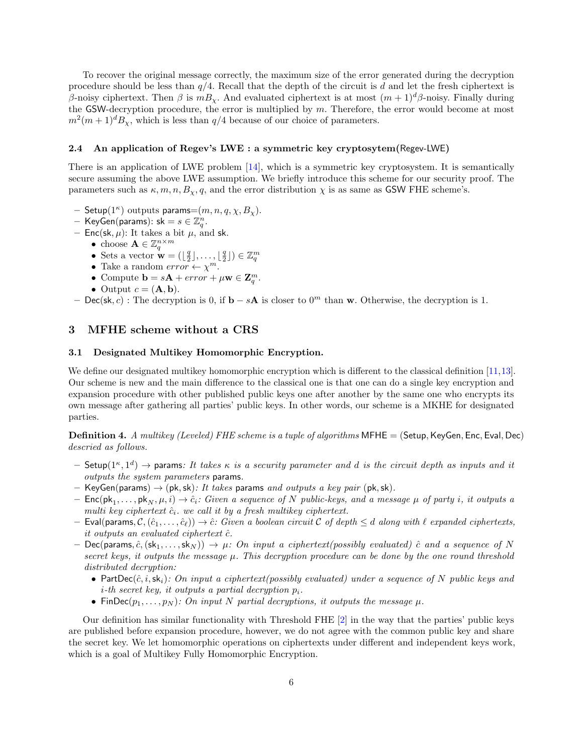To recover the original message correctly, the maximum size of the error generated during the decryption procedure should be less than  $q/4$ . Recall that the depth of the circuit is d and let the fresh ciphertext is β-noisy ciphertext. Then β is  $mB_\chi$ . And evaluated ciphertext is at most  $(m+1)^d\beta$ -noisy. Finally during the GSW-decryption procedure, the error is multiplied by  $m$ . Therefore, the error would become at most  $m^2(m+1)^d B_\chi$ , which is less than  $q/4$  because of our choice of parameters.

#### 2.4 An application of Regev's LWE : a symmetric key cryptosytem(Regev-LWE)

There is an application of LWE problem [\[14\]](#page-13-2), which is a symmetric key cryptosystem. It is semantically secure assuming the above LWE assumption. We briefly introduce this scheme for our security proof. The parameters such as  $\kappa, m, n, B_{\gamma}, q$ , and the error distribution  $\gamma$  is as same as GSW FHE scheme's.

- Setup $(1^{\kappa})$  outputs params= $(m, n, q, \chi, B_{\chi})$ .
- $-$  KeyGen(params): sk  $= s \in \mathbb{Z}_q^n$ .
- Enc(sk,  $\mu$ ): It takes a bit  $\mu$ , and sk.
	- choose  $\mathbf{A} \in \mathbb{Z}_q^{n \times m}$ 
		- Sets a vector  $\mathbf{w} = (\lfloor \frac{q}{2} \rfloor, \ldots, \lfloor \frac{q}{2} \rfloor) \in \mathbb{Z}_q^m$
		- Take a random  $error \leftarrow \chi^m$ .
		- Compute  $\mathbf{b} = s\mathbf{A} + error + \mu \mathbf{w} \in \mathbf{Z}_q^m$ .
		- Output  $c = (\mathbf{A}, \mathbf{b}).$

– Dec(sk, c) : The decryption is 0, if  $\mathbf{b} - s\mathbf{A}$  is closer to 0<sup>m</sup> than **w**. Otherwise, the decryption is 1.

## <span id="page-5-0"></span>3 MFHE scheme without a CRS

## 3.1 Designated Multikey Homomorphic Encryption.

We define our designated multikey homomorphic encryption which is different to the classical definition [\[11,](#page-12-7)[13\]](#page-13-1). Our scheme is new and the main difference to the classical one is that one can do a single key encryption and expansion procedure with other published public keys one after another by the same one who encrypts its own message after gathering all parties' public keys. In other words, our scheme is a MKHE for designated parties.

**Definition 4.** A multikey (Leveled) FHE scheme is a tuple of algorithms  $MFHE = (Setup, KeyGen, Enc, Eva, Dec)$ descried as follows.

- $-$  Setup $(1^{\kappa}, 1^d)$   $\rightarrow$  params: It takes  $\kappa$  is a security parameter and d is the circuit depth as inputs and it outputs the system parameters params.
- KeyGen(params)  $\rightarrow$  (pk, sk): It takes params and outputs a key pair (pk, sk).
- $-$  Enc(pk<sub>1</sub>,..., pk<sub>N</sub>,  $\mu$ , i)  $\rightarrow \hat{c}_i$ : Given a sequence of N public-keys, and a message  $\mu$  of party i, it outputs a multi key ciphertext  $\hat{c}_i$ . we call it by a fresh multikey ciphertext.
- Eval(params,  $\mathcal{C},(\hat{c}_1,\ldots,\hat{c}_\ell) \rightarrow \hat{c}$ : Given a boolean circuit C of depth  $\leq d$  along with  $\ell$  expanded ciphertexts, it outputs an evaluated ciphertext  $\hat{c}$ .
- Dec(params,  $\hat{c}$ ,  $(\text{sk}_1, \ldots, \text{sk}_N)$ )  $\rightarrow \mu$ : On input a ciphertext(possibly evaluated)  $\hat{c}$  and a sequence of N secret keys, it outputs the message  $\mu$ . This decryption procedure can be done by the one round threshold distributed decryption:
	- PartDec( $\hat{c}, i, sk_i$ ): On input a ciphertext(possibly evaluated) under a sequence of N public keys and *i*-th secret key, it outputs a partial decryption  $p_i$ .
	- FinDec( $p_1, \ldots, p_N$ ): On input N partial decryptions, it outputs the message  $\mu$ .

Our definition has similar functionality with Threshold FHE [\[2\]](#page-12-10) in the way that the parties' public keys are published before expansion procedure, however, we do not agree with the common public key and share the secret key. We let homomorphic operations on ciphertexts under different and independent keys work, which is a goal of Multikey Fully Homomorphic Encryption.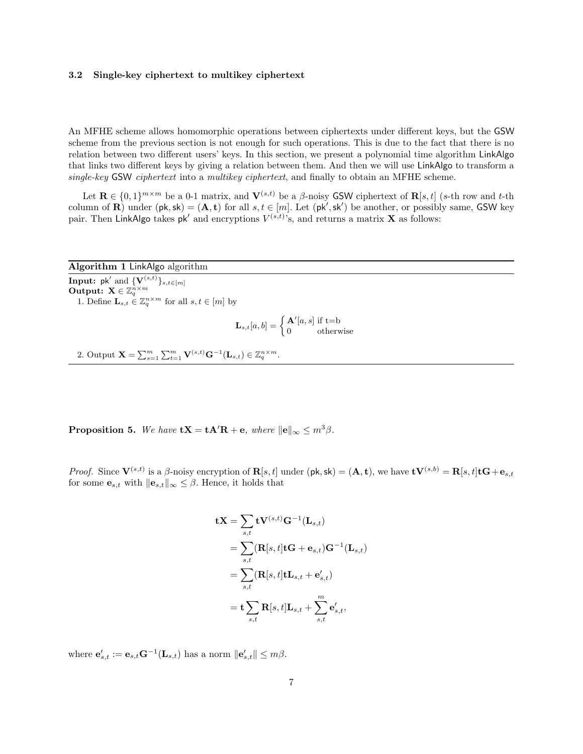#### 3.2 Single-key ciphertext to multikey ciphertext

An MFHE scheme allows homomorphic operations between ciphertexts under different keys, but the GSW scheme from the previous section is not enough for such operations. This is due to the fact that there is no relation between two different users' keys. In this section, we present a polynomial time algorithm LinkAlgo that links two different keys by giving a relation between them. And then we will use LinkAlgo to transform a single-key GSW ciphertext into a multikey ciphertext, and finally to obtain an MFHE scheme.

Let  $\mathbf{R} \in \{0,1\}^{m \times m}$  be a 0-1 matrix, and  $\mathbf{V}^{(s,t)}$  be a  $\beta$ -noisy GSW ciphertext of  $\mathbf{R}[s,t]$  (s-th row and t-th column of **R**) under  $(\mathsf{pk}, \mathsf{sk}) = (\mathbf{A}, \mathbf{t})$  for all  $s, t \in [m]$ . Let  $(\mathsf{pk}', \mathsf{sk}')$  be another, or possibly same, GSW key pair. Then LinkAlgo takes  $pk'$  and encryptions  $V^{(s,t)}$ , and returns a matrix **X** as follows:

| Algorithm 1 LinkAlgo algorithm                                                                             |
|------------------------------------------------------------------------------------------------------------|
| Input: $pk'$ and $\{V^{(s,t)}\}_{s,t\in[m]}$                                                               |
| Output: $\mathbf{X} \in \mathbb{Z}_a^{n \times m}$                                                         |
| 1. Define $\mathbf{L}_{s,t} \in \mathbb{Z}_q^{n \times m}$ for all $s,t \in [m]$ by                        |
| $\mathbf{L}_{s,t}[a,b] = \begin{cases} \mathbf{A}'[a,s] \text{ if t=b} \\ 0 \text{ otherwise} \end{cases}$ |

2. Output  $\mathbf{X} = \sum_{s=1}^{m} \sum_{t=1}^{m} \mathbf{V}^{(s,t)} \mathbf{G}^{-1}(\mathbf{L}_{s,t}) \in \mathbb{Z}_q^{n \times m}$ .

**Proposition 5.** We have  $\mathbf{t} \mathbf{X} = \mathbf{t} \mathbf{A}' \mathbf{R} + \mathbf{e}$ , where  $\|\mathbf{e}\|_{\infty} \leq m^3 \beta$ .

*Proof.* Since  $V^{(s,t)}$  is a  $\beta$ -noisy encryption of  $\mathbf{R}[s,t]$  under  $(\mathsf{pk}, \mathsf{sk}) = (\mathbf{A}, \mathbf{t})$ , we have  $\mathbf{t} \mathbf{V}^{(s,b)} = \mathbf{R}[s,t] \mathbf{t} \mathbf{G} + \mathbf{e}_{s,t}$ for some  $\mathbf{e}_{s,t}$  with  $\|\mathbf{e}_{s,t}\|_{\infty} \leq \beta$ . Hence, it holds that

$$
\mathbf{t} \mathbf{X} = \sum_{s,t} \mathbf{t} \mathbf{V}^{(s,t)} \mathbf{G}^{-1} (\mathbf{L}_{s,t})
$$
  
= 
$$
\sum_{s,t} (\mathbf{R}[s,t] \mathbf{t} \mathbf{G} + \mathbf{e}_{s,t}) \mathbf{G}^{-1} (\mathbf{L}_{s,t})
$$
  
= 
$$
\sum_{s,t} (\mathbf{R}[s,t] \mathbf{t} \mathbf{L}_{s,t} + \mathbf{e}'_{s,t})
$$
  
= 
$$
\mathbf{t} \sum_{s,t} \mathbf{R}[s,t] \mathbf{L}_{s,t} + \sum_{s,t}^{m} \mathbf{e}'_{s,t},
$$

where  $\mathbf{e}_{s,t}' := \mathbf{e}_{s,t} \mathbf{G}^{-1}(\mathbf{L}_{s,t})$  has a norm  $\|\mathbf{e}_{s,t}'\| \le m\beta$ .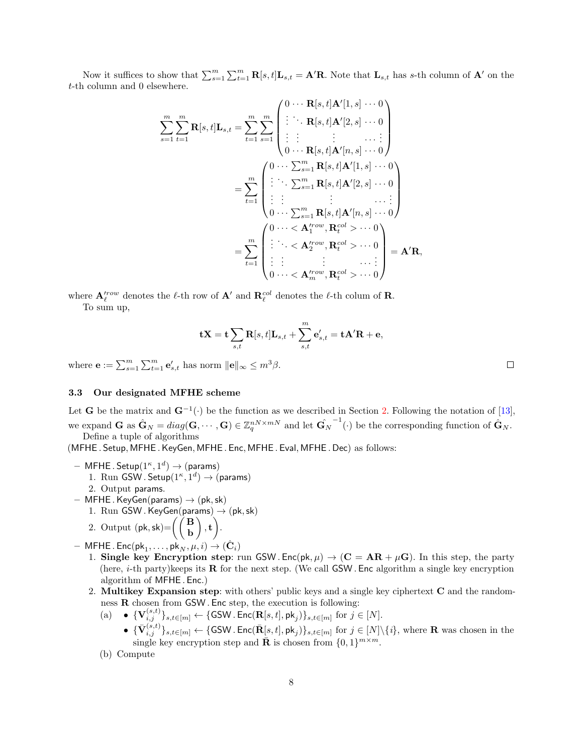Now it suffices to show that  $\sum_{s=1}^{m} \sum_{t=1}^{m} \mathbf{R}[s,t] \mathbf{L}_{s,t} = \mathbf{A}'\mathbf{R}$ . Note that  $\mathbf{L}_{s,t}$  has s-th column of  $\mathbf{A}'$  on the t-th column and 0 elsewhere.

$$
\sum_{s=1}^{m} \sum_{t=1}^{m} \mathbf{R}[s, t] \mathbf{L}_{s,t} = \sum_{t=1}^{m} \sum_{s=1}^{m} \begin{pmatrix} 0 & \cdots & \mathbf{R}[s, t] \mathbf{A}'[1, s] & \cdots & 0 \\ \vdots & \ddots & \mathbf{R}[s, t] \mathbf{A}'[2, s] & \cdots & 0 \\ \vdots & \vdots & \ddots & \ddots & \vdots \\ 0 & \cdots & \mathbf{R}[s, t] \mathbf{A}'[n, s] & \cdots & 0 \end{pmatrix}
$$

$$
= \sum_{t=1}^{m} \begin{pmatrix} 0 & \cdots & \sum_{s=1}^{m} \mathbf{R}[s, t] \mathbf{A}'[1, s] & \cdots & 0 \\ \vdots & \ddots & \sum_{s=1}^{m} \mathbf{R}[s, t] \mathbf{A}'[2, s] & \cdots & 0 \\ \vdots & \vdots & \vdots & \ddots & \vdots \\ 0 & \cdots & \sum_{s=1}^{m} \mathbf{R}[s, t] \mathbf{A}'[n, s] & \cdots & 0 \end{pmatrix}
$$

$$
= \sum_{t=1}^{m} \begin{pmatrix} 0 & \cdots & < \mathbf{A}'^{row}_1 & \mathbf{R}^{col}_t > \cdots & 0 \\ \vdots & \ddots & \vdots & \ddots & \vdots \\ \vdots & \vdots & \ddots & \vdots & \ddots & \vdots \\ 0 & \cdots & < \mathbf{A}'^{row}_m & \mathbf{R}^{col}_t > \cdots & 0 \end{pmatrix} = \mathbf{A}' \mathbf{R},
$$

where  $\mathbf{A}'^{row}_{\ell}$  denotes the  $\ell$ -th row of  $\mathbf{A}'$  and  $\mathbf{R}^{col}_{\ell}$  denotes the  $\ell$ -th colum of  $\mathbf{R}$ .

To sum up,

$$
\mathbf{tX} = \mathbf{t} \sum_{s,t} \mathbf{R}[s,t] \mathbf{L}_{s,t} + \sum_{s,t}^{m} \mathbf{e}'_{s,t} = \mathbf{tA}'\mathbf{R} + \mathbf{e},
$$

where  $\mathbf{e} := \sum_{s=1}^{m} \sum_{t=1}^{m} \mathbf{e}'_{s,t}$  has norm  $\|\mathbf{e}\|_{\infty} \leq m^3 \beta$ .

## 3.3 Our designated MFHE scheme

Let **G** be the matrix and  $\mathbf{G}^{-1}(\cdot)$  be the function as we described in Section [2.](#page-3-0) Following the notation of [\[13\]](#page-13-1), we expand **G** as  $\hat{\mathbf{G}}_N = diag(\mathbf{G}, \dots, \mathbf{G}) \in \mathbb{Z}_q^{nN \times mN}$  and let  $\hat{\mathbf{G}}_N^{-1}(\cdot)$  be the corresponding function of  $\hat{\mathbf{G}}_N$ . Define a tuple of algorithms

(MFHE . Setup, MFHE . KeyGen, MFHE . Enc, MFHE . Eval, MFHE . Dec) as follows:

- $-$  MFHE. Setup $(1^{\kappa}, 1^d) \rightarrow ($ params)
	- 1. Run GSW. Setup $(1^{\kappa}, 1^d) \rightarrow ($ params)
- 2. Output params.
- $-$  MFHE. KeyGen(params)  $\rightarrow$  (pk, sk)
	- 1. Run GSW. KeyGen(params)  $\rightarrow$  (pk, sk)
	- 2. Output  $(\mathsf{pk}, \mathsf{sk}) = \left(\begin{pmatrix} \mathbf{B} \\ \mathbf{b} \end{pmatrix}\right)$  $\Big), \mathbf{t} \Big).$
- $-$  MFHE. Enc $(\mathsf{pk}_1, \ldots, \mathsf{pk}_N, \mu, i) \to (\hat{\mathbf{C}}_i)$ 
	- 1. Single key Encryption step: run GSW. Enc(pk,  $\mu$ )  $\rightarrow$  (C = AR +  $\mu$ G). In this step, the party (here, *i*-th party)keeps its  $\bf{R}$  for the next step. (We call GSW. Enc algorithm a single key encryption algorithm of MFHE . Enc.)
	- 2. Multikey Expansion step: with others' public keys and a single key ciphertext C and the randomness R chosen from GSW . Enc step, the execution is following:
		- (a)  $\{ \mathbf{V}_{i,j}^{(s,t)} \}_{s,t \in [m]} \leftarrow \{ \textsf{GSW} \cdot \textsf{Enc}(\mathbf{R}[s,t], \mathsf{pk}_j) \}_{s,t \in [m]}$  for  $j \in [N]$ .
			- ${\{\bar{\mathbf{V}}^{(s,t)}_{i,j}\}}_{s,t\in[m]} \leftarrow {\{\textsf{GSW}}{\textsf{Enc}(\bar{\mathbf{R}}[s,t], \mathsf{pk}_j)\}}_{s,t\in[m]} \text{ for } j\in[N]\backslash\{i\}\text{, where } \mathbf{R} \text{ was chosen in the }$ single key encryption step and  $\bar{\mathbf{R}}$  is chosen from  $\{0, 1\}^{m \times m}$ .
		- (b) Compute

 $\Box$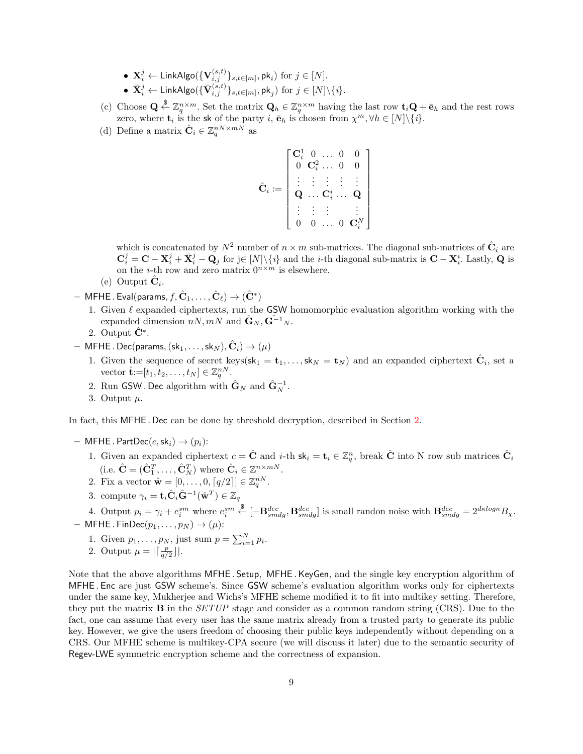- $\mathbf{X}_i^j \leftarrow \mathsf{LinkAlgo}(\{\mathbf{V}_{i,j}^{(s,t)}\}_{s,t\in[m]}, \mathsf{pk}_i)$  for  $j \in [N].$
- $\bullet \ \ \bar{\mathbf X}^j_i \leftarrow \mathsf{LinkAlgo}(\{\bar{\mathbf V}_{i,j}^{(s,t)}\}_{s,t\in[m]}, \mathsf{pk}_j) \ \text{for} \ j \in [N]\backslash \{i\}.$
- (c) Choose  $\mathbf{Q} \stackrel{\$}{\leftarrow} \mathbb{Z}_q^{n \times m}$ . Set the matrix  $\mathbf{Q}_h \in \mathbb{Z}_q^{n \times m}$  having the last row  $\mathbf{t}_i \mathbf{Q} + \bar{\mathbf{e}}_h$  and the rest rows zero, where  $\mathbf{t}_i$  is the sk of the party i,  $\bar{\mathbf{e}}_h$  is chosen from  $\chi^m, \forall h \in [N] \setminus \{i\}.$
- (d) Define a matrix  $\hat{\mathbf{C}}_i \in \mathbb{Z}_q^{nN \times mN}$  as

$$
\hat{\mathbf{C}}_i := \left[ \begin{array}{cccc} \mathbf{C}^1_i & 0 & \ldots & 0 & 0 \\ 0 & \mathbf{C}^2_i & \ldots & 0 & 0 \\ \vdots & \vdots & \vdots & \vdots & \vdots \\ \mathbf{Q} & \ldots & \mathbf{C}^i_i & \ldots & \mathbf{Q} \\ \vdots & \vdots & \vdots & & \vdots \\ 0 & 0 & \ldots & 0 & \mathbf{C}^N_i \end{array} \right]
$$

which is concatenated by  $N^2$  number of  $n \times m$  sub-matrices. The diagonal sub-matrices of  $\hat{\mathbf{C}}_i$  are  $\mathbf{C}_i^j = \mathbf{C} - \mathbf{X}_i^j + \bar{\mathbf{X}}_i^j - \mathbf{Q}_j$  for j∈ [N]\{i} and the *i*-th diagonal sub-matrix is  $\mathbf{C} - \mathbf{X}_i^i$ . Lastly, **Q** is on the *i*-th row and zero matrix  $0^{n \times m}$  is elsewhere.

- (e) Output  $\hat{\mathbf{C}}_i$ .
- $-$  MFHE . Eval(params,  $f, \hat{\mathbf{C}}_1, \dots, \hat{\mathbf{C}}_\ell) \to (\hat{\mathbf{C}}^*)$ 
	- 1. Given  $\ell$  expanded ciphertexts, run the GSW homomorphic evaluation algorithm working with the expanded dimension  $nN, mN$  and  $\hat{\mathbf{G}}_N, \hat{\mathbf{G}}^{-1}{}_N$ .
	- 2. Output  $\hat{\mathbf{C}}^*$ .
- $-$  MFHE . Dec(params,  $(\mathsf{sk}_1, \dots, \mathsf{sk}_N), \hat{\mathbf{C}}_i) \to (\mu)$ 
	- 1. Given the sequence of secret keys( $sk_1 = t_1, \ldots, sk_N = t_N$ ) and an expanded ciphertext  $\hat{\mathbf{C}}_i$ , set a vector  $\hat{\mathbf{t}} := [t_1, t_2, \dots, t_N] \in \mathbb{Z}_q^{nN}$ .
	- 2. Run GSW . Dec algorithm with  $\hat{\mathbf{G}}_N$  and  $\hat{\mathbf{G}}_N^{-1}$ .
	- 3. Output  $\mu$ .

In fact, this MFHE . Dec can be done by threshold decryption, described in Section [2.](#page-3-0)

- $-$  MFHE . PartDec(c, sk<sub>i</sub>)  $\rightarrow$  (p<sub>i</sub>):
	- 1. Given an expanded ciphertext  $c = \hat{C}$  and *i*-th  $sk_i = t_i \in \mathbb{Z}_q^n$ , break  $\hat{C}$  into N row sub matrices  $\hat{C}_i$ (i.e.  $\hat{\mathbf{C}} = (\hat{\mathbf{C}}_1^T, \dots, \hat{\mathbf{C}}_N^T)$  where  $\hat{\mathbf{C}}_i \in \mathbb{Z}^{n \times mN}$ .
	- 2. Fix a vector  $\hat{\mathbf{w}} = [0, \dots, 0, \lceil q/2 \rceil] \in \mathbb{Z}_q^{nN}$ .
	- 3. compute  $\gamma_i = \mathbf{t}_i \hat{\mathbf{C}}_i \hat{\mathbf{G}}^{-1}(\hat{\mathbf{w}}^T) \in \mathbb{Z}_q$
	- 4. Output  $p_i = \gamma_i + e_i^{sm}$  where  $e_i^{sm}$  $\stackrel{\$}{\leftarrow} [-\mathbf{B}^{dec}_{smdg}, \mathbf{B}^{dec}_{smdg}]$  is small randon noise with  $\mathbf{B}^{dec}_{smdg} = 2^{dklog\kappa} B_{\chi}$ .
- MFHE. FinDec $(p_1, \ldots, p_N) \rightarrow (\mu)$ :
	- 1. Given  $p_1, \ldots, p_N$ , just sum  $p = \sum_{i=1}^N p_i$ .
	- 2. Output  $\mu = \left| \left[ \frac{p}{q/2} \right] \right|$ .

Note that the above algorithms MFHE . Setup, MFHE .KeyGen, and the single key encryption algorithm of MFHE . Enc are just GSW scheme's. Since GSW scheme's evaluation algorithm works only for ciphertexts under the same key, Mukherjee and Wichs's MFHE scheme modified it to fit into multikey setting. Therefore, they put the matrix B in the SETUP stage and consider as a common random string (CRS). Due to the fact, one can assume that every user has the same matrix already from a trusted party to generate its public key. However, we give the users freedom of choosing their public keys independently without depending on a CRS. Our MFHE scheme is multikey-CPA secure (we will discuss it later) due to the semantic security of Regev-LWE symmetric encryption scheme and the correctness of expansion.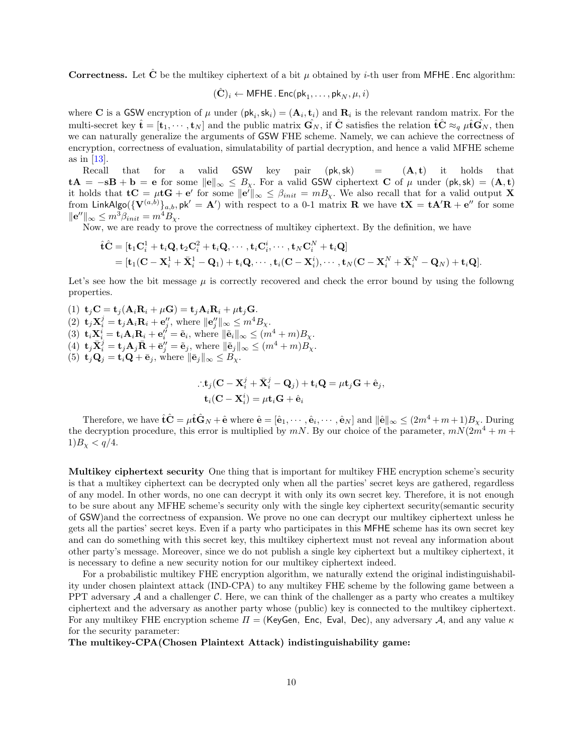**Correctness.** Let  $\tilde{C}$  be the multikey ciphertext of a bit  $\mu$  obtained by *i*-th user from MFHE. Enc algorithm:

$$
(\hat{\mathbf{C}})_i \leftarrow \mathsf{MFHE} \,.\, \mathsf{Enc}(\mathsf{pk}_1, \ldots, \mathsf{pk}_N, \mu, i)
$$

where **C** is a GSW encryption of  $\mu$  under  $(\mathsf{pk}_i, \mathsf{sk}_i) = (\mathbf{A}_i, \mathbf{t}_i)$  and  $\mathbf{R}_i$  is the relevant random matrix. For the multi-secret key  $\hat{\mathbf{t}} = [\mathbf{t}_1, \cdots, \mathbf{t}_N]$  and the public matrix  $\hat{\mathbf{G}}_N$ , if  $\hat{\mathbf{C}}$  satisfies the relation  $\hat{\mathbf{t}} \hat{\mathbf{C}} \approx_q \hat{\mu} \hat{\mathbf{t}} \hat{\mathbf{G}}_N$ , then we can naturally generalize the arguments of GSW FHE scheme. Namely, we can achieve the correctness of encryption, correctness of evaluation, simulatability of partial decryption, and hence a valid MFHE scheme as in [\[13\]](#page-13-1).

Recall that for a valid GSW key pair  $(\mathsf{pk}, \mathsf{sk})$  =  $(\mathbf{A}, \mathbf{t})$  it holds that  $tA = -sB + b = e$  for some  $||e||_{\infty} \leq B_{\chi}$ . For a valid GSW ciphertext C of  $\mu$  under (pk, sk) = (A, t) it holds that  $\mathbf{t} \mathbf{C} = \mu \mathbf{t} \mathbf{G} + \mathbf{e}'$  for some  $\|\mathbf{e}'\|_{\infty} \leq \beta_{init} = m_{\chi}$ . We also recall that for a valid output X from LinkAlgo $(\{V^{(a,b)}\}_{a,b}, \mathsf{pk}' = \mathbf{A}')$  with respect to a 0-1 matrix  $\mathbf{R}$  we have  $\mathbf{tX} = \mathbf{tA'R} + \mathbf{e}''$  for some  $\|\mathbf{e}''\|_{\infty} \leq m^3 \beta_{init} = m^4 B_{\chi}.$ 

Now, we are ready to prove the correctness of multikey ciphertext. By the definition, we have

$$
\begin{aligned} \hat{\mathbf{t}} \hat{\mathbf{C}} &= [\mathbf{t}_1 \mathbf{C}^1_i + \mathbf{t}_i \mathbf{Q}, \mathbf{t}_2 \mathbf{C}^2_i + \mathbf{t}_i \mathbf{Q}, \cdots, \mathbf{t}_i \mathbf{C}^i_i, \cdots, \mathbf{t}_N \mathbf{C}^N_i + \mathbf{t}_i \mathbf{Q}] \\ &= [\mathbf{t}_1 (\mathbf{C} - \mathbf{X}^1_i + \bar{\mathbf{X}}^1_i - \mathbf{Q}_1) + \mathbf{t}_i \mathbf{Q}, \cdots, \mathbf{t}_i (\mathbf{C} - \mathbf{X}^i_i), \cdots, \mathbf{t}_N (\mathbf{C} - \mathbf{X}^N_i + \bar{\mathbf{X}}^N_i - \mathbf{Q}_N) + \mathbf{t}_i \mathbf{Q}].\end{aligned}
$$

Let's see how the bit message  $\mu$  is correctly recovered and check the error bound by using the followng properties.

(1)  $\mathbf{t}_i \mathbf{C} = \mathbf{t}_i (\mathbf{A}_i \mathbf{R}_i + \mu \mathbf{G}) = \mathbf{t}_i \mathbf{A}_i \mathbf{R}_i + \mu \mathbf{t}_j \mathbf{G}.$ (2)  $\mathbf{t}_j \mathbf{X}_i^j = \mathbf{t}_j \mathbf{A}_i \mathbf{R}_i + \mathbf{e}_j'',$  where  $\|\mathbf{e}_j''\|_{\infty} \leq m^4 B_{\chi}.$ (3)  $\mathbf{t}_i \mathbf{X}_i^i = \mathbf{t}_i \mathbf{A}_i \mathbf{R}_i + \mathbf{e}_i^{\prime \prime} = \tilde{\mathbf{e}}_i$ , where  $\|\tilde{\mathbf{e}}_i\|_{\infty} \leq (m^4 + m)B_{\chi}$ . (4)  $\mathbf{t}_j \bar{\mathbf{X}}_i^j = \mathbf{t}_j \mathbf{A}_j \bar{\mathbf{R}} + \bar{\mathbf{e}}_j'' = \tilde{\mathbf{e}}_j$ , where  $\|\tilde{\mathbf{e}}_j\|_{\infty} \leq (m^4 + m)B_\chi$ . (5)  $\mathbf{t}_j \mathbf{Q}_j = \mathbf{t}_i \mathbf{Q} + \bar{\mathbf{e}}_j$ , where  $\|\bar{\mathbf{e}}_j\|_{\infty} \leq B_{\chi}$ .

$$
\begin{aligned} &\therefore \mathbf{t}_j(\mathbf{C} - \mathbf{X}_i^j + \bar{\mathbf{X}}_i^j - \mathbf{Q}_j) + \mathbf{t}_i \mathbf{Q} = \mu \mathbf{t}_j \mathbf{G} + \hat{\mathbf{e}}_j, \\ &\mathbf{t}_i(\mathbf{C} - \mathbf{X}_i^i) = \mu \mathbf{t}_i \mathbf{G} + \hat{\mathbf{e}}_i \end{aligned}
$$

Therefore, we have  $\hat{\mathbf{t}}\hat{\mathbf{C}} = \mu \hat{\mathbf{t}}\hat{\mathbf{G}}_N + \hat{\mathbf{e}}$  where  $\hat{\mathbf{e}} = [\hat{\mathbf{e}}_1, \cdots, \hat{\mathbf{e}}_i, \cdots, \hat{\mathbf{e}}_N]$  and  $\|\hat{\mathbf{e}}\|_{\infty} \leq (2m^4 + m + 1)B_{\chi}$ . During the decryption procedure, this error is multiplied by  $mN$ . By our choice of the parameter,  $mN(2m^4 + m +$  $1)B_{\chi} < q/4.$ 

Multikey ciphertext security One thing that is important for multikey FHE encryption scheme's security is that a multikey ciphertext can be decrypted only when all the parties' secret keys are gathered, regardless of any model. In other words, no one can decrypt it with only its own secret key. Therefore, it is not enough to be sure about any MFHE scheme's security only with the single key ciphertext security(semantic security of GSW)and the correctness of expansion. We prove no one can decrypt our multikey ciphertext unless he gets all the parties' secret keys. Even if a party who participates in this MFHE scheme has its own secret key and can do something with this secret key, this multikey ciphertext must not reveal any information about other party's message. Moreover, since we do not publish a single key ciphertext but a multikey ciphertext, it is necessary to define a new security notion for our multikey ciphertext indeed.

For a probabilistic multikey FHE encryption algorithm, we naturally extend the original indistinguishability under chosen plaintext attack (IND-CPA) to any multikey FHE scheme by the following game between a PPT adversary  $A$  and a challenger  $C$ . Here, we can think of the challenger as a party who creates a multikey ciphertext and the adversary as another party whose (public) key is connected to the multikey ciphertext. For any multikey FHE encryption scheme  $\Pi =$  (KeyGen, Enc, Eval, Dec), any adversary A, and any value  $\kappa$ for the security parameter:

The multikey-CPA(Chosen Plaintext Attack) indistinguishability game: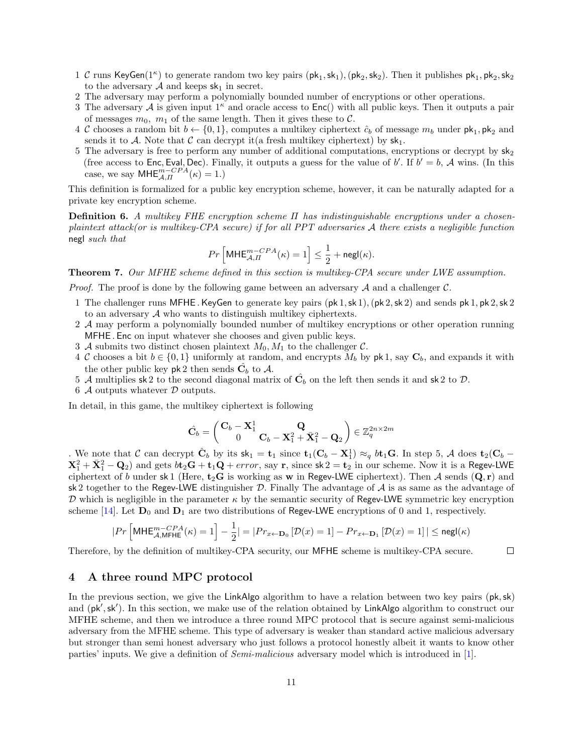- 1 C runs KeyGen(1<sup> $\kappa$ </sup>) to generate random two key pairs  $(\mathsf{pk}_1, \mathsf{sk}_1), (\mathsf{pk}_2, \mathsf{sk}_2)$ . Then it publishes  $\mathsf{pk}_1, \mathsf{pk}_2, \mathsf{sk}_2$ to the adversary  $A$  and keeps  $sk_1$  in secret.
- 2 The adversary may perform a polynomially bounded number of encryptions or other operations.
- 3 The adversary A is given input  $1^{\kappa}$  and oracle access to  $Enc()$  with all public keys. Then it outputs a pair of messages  $m_0$ ,  $m_1$  of the same length. Then it gives these to C.
- 4 C chooses a random bit  $b \leftarrow \{0, 1\}$ , computes a multikey ciphertext  $\hat{c}_b$  of message  $m_b$  under  $\mathsf{pk}_1, \mathsf{pk}_2$  and sends it to A. Note that C can decrypt it (a fresh multikey ciphertext) by  $sk_1$ .
- 5 The adversary is free to perform any number of additional computations, encryptions or decrypt by  $sk_2$ (free access to Enc, Eval, Dec). Finally, it outputs a guess for the value of b'. If  $b' = b$ , A wins. (In this case, we say  $\mathsf{MHE}_{\mathcal{A},\Pi}^{m-CPA}(\kappa) = 1.$ )

This definition is formalized for a public key encryption scheme, however, it can be naturally adapted for a private key encryption scheme.

Definition 6. A multikey FHE encryption scheme Π has indistinguishable encryptions under a chosenplaintext attack(or is multikey-CPA secure) if for all PPT adversaries A there exists a negligible function negl such that

$$
Pr\left[\mathsf{MHE}_{\mathcal{A},\varPi}^{m-CPA}(\kappa)=1\right]\leq \frac{1}{2}+\mathsf{negl}(\kappa).
$$

Theorem 7. Our MFHE scheme defined in this section is multikey-CPA secure under LWE assumption.

*Proof.* The proof is done by the following game between an adversary  $A$  and a challenger  $C$ .

- 1 The challenger runs MFHE. KeyGen to generate key pairs  $(\mathsf{pk} 1, \mathsf{sk} 1), (\mathsf{pk} 2, \mathsf{sk} 2)$  and sends  $\mathsf{pk} 1, \mathsf{pk} 2, \mathsf{sk} 2$ to an adversary A who wants to distinguish multikey ciphertexts.
- 2 A may perform a polynomially bounded number of multikey encryptions or other operation running MFHE . Enc on input whatever she chooses and given public keys.
- 3 A submits two distinct chosen plaintext  $M_0, M_1$  to the challenger C.
- 4 C chooses a bit  $b \in \{0,1\}$  uniformly at random, and encrypts  $M_b$  by pk 1, say  $C_b$ , and expands it with the other public key  $pk2$  then sends  $\hat{C}_b$  to  $\mathcal{A}$ .
- 5 A multiplies sk 2 to the second diagonal matrix of  $\hat{\mathbf{C}}_b$  on the left then sends it and sk 2 to  $\mathcal{D}$ .
- 6  $\cal{A}$  outputs whatever  $\cal{D}$  outputs.

In detail, in this game, the multikey ciphertext is following

$$
\hat{\mathbf{C}}_{b} = \left(\begin{matrix}\mathbf{C}_b-\mathbf{X}_1^1 \\ 0 \end{matrix}\begin{matrix}\mathbf{Q} \\ \mathbf{C}_b-\mathbf{X}_1^2+\bar{\mathbf{X}}_1^2-\mathbf{Q}_2\end{matrix}\right)\in\mathbb{Z}_q^{2n\times 2m}
$$

. We note that C can decrypt  $\hat{\mathbf{C}}_b$  by its  $\mathsf{sk}_1 = \mathbf{t}_1$  since  $\mathbf{t}_1(\mathbf{C}_b - \mathbf{X}_1^1) \approx_q b \mathbf{t}_1 \mathbf{G}$ . In step 5, A does  $\mathbf{t}_2(\mathbf{C}_b X_1^2 + \bar{X}_1^2 - Q_2$  and gets  $b\bar{t}_2G + \bar{t}_1Q + error$ , say r, since  $sk\ 2 = \bar{t}_2$  in our scheme. Now it is a Regev-LWE ciphertext of b under sk 1 (Here,  $t_2$ G is working as w in Regev-LWE ciphertext). Then A sends  $(Q, r)$  and sk 2 together to the Regev-LWE distinguisher D. Finally The advantage of  $A$  is as same as the advantage of D which is negligible in the parameter  $\kappa$  by the semantic security of Regev-LWE symmetric key encryption scheme [\[14\]](#page-13-2). Let  $D_0$  and  $D_1$  are two distributions of Regev-LWE encryptions of 0 and 1, respectively.

$$
|Pr\left[\mathsf{MHE}_{\mathcal{A},\mathsf{MFHE}}^{m-CPA}(\kappa) = 1\right] - \frac{1}{2}| = |Pr_{x \leftarrow \mathbf{D}_0} \left[\mathcal{D}(x) = 1\right] - Pr_{x \leftarrow \mathbf{D}_1} \left[\mathcal{D}(x) = 1\right]| \leq {\mathsf{negl}}(\kappa)
$$

Therefore, by the definition of multikey-CPA security, our MFHE scheme is multikey-CPA secure.  $\Box$ 

## <span id="page-10-0"></span>4 A three round MPC protocol

In the previous section, we give the LinkAlgo algorithm to have a relation between two key pairs  $(pk, sk)$ and  $(pk', sk')$ . In this section, we make use of the relation obtained by LinkAlgo algorithm to construct our MFHE scheme, and then we introduce a three round MPC protocol that is secure against semi-malicious adversary from the MFHE scheme. This type of adversary is weaker than standard active malicious adversary but stronger than semi honest adversary who just follows a protocol honestly albeit it wants to know other parties' inputs. We give a definition of Semi-malicious adversary model which is introduced in [\[1\]](#page-12-11).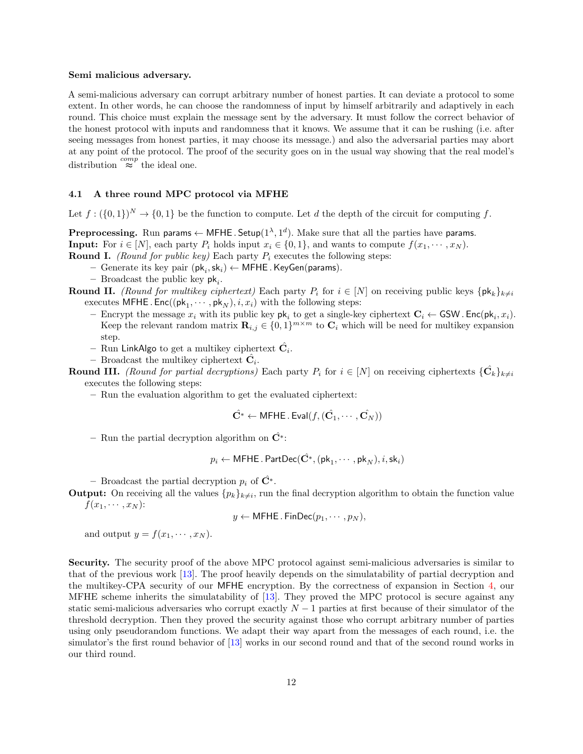#### Semi malicious adversary.

A semi-malicious adversary can corrupt arbitrary number of honest parties. It can deviate a protocol to some extent. In other words, he can choose the randomness of input by himself arbitrarily and adaptively in each round. This choice must explain the message sent by the adversary. It must follow the correct behavior of the honest protocol with inputs and randomness that it knows. We assume that it can be rushing (i.e. after seeing messages from honest parties, it may choose its message.) and also the adversarial parties may abort at any point of the protocol. The proof of the security goes on in the usual way showing that the real model's distribution  $\stackrel{comp}{\approx}$  the ideal one.

#### 4.1 A three round MPC protocol via MFHE

Let  $f: (\{0,1\})^N \to \{0,1\}$  be the function to compute. Let d the depth of the circuit for computing f.

**Preprocessing.** Run params  $\leftarrow$  MFHE. Setup( $1^{\lambda}, 1^d$ ). Make sure that all the parties have params. **Input:** For  $i \in [N]$ , each party  $P_i$  holds input  $x_i \in \{0, 1\}$ , and wants to compute  $f(x_1, \dots, x_N)$ . **Round I.** (Round for public key) Each party  $P_i$  executes the following steps:

- $−$  Generate its key pair  $(\mathsf{pk}_i, \mathsf{sk}_i)$  ← MFHE. KeyGen(params).
- Broadcast the public key  $pk_i$ .
- **Round II.** (Round for multikey ciphertext) Each party  $P_i$  for  $i \in [N]$  on receiving public keys  $\{pk_k\}_{k\neq i}$ executes MFHE.  $\mathsf{Enc}((\mathsf{pk}_1, \cdots, \mathsf{pk}_N), i, x_i)$  with the following steps:
	- Encrypt the message  $x_i$  with its public key  $\mathsf{pk}_i$  to get a single-key ciphertext  $\mathbf{C}_i \leftarrow \textsf{GSW}$ . Enc $(\mathsf{pk}_i, x_i)$ . Keep the relevant random matrix  $\mathbf{R}_{i,j} \in \{0,1\}^{m \times m}$  to  $\mathbf{C}_i$  which will be need for multikey expansion step.
	- Run LinkAlgo to get a multikey ciphertext  $\hat{\mathbf{C}}_i.$
	- Broadcast the multikey ciphertext  $\hat{C}_i$ .

**Round III.** (Round for partial decryptions) Each party  $P_i$  for  $i \in [N]$  on receiving ciphertexts  $\{\hat{\mathbf{C}}_k\}_{k \neq i}$ executes the following steps:

– Run the evaluation algorithm to get the evaluated ciphertext:

$$
\hat{\mathbf{C}^*} \leftarrow \mathsf{MFHE} \,.\, \mathsf{Eval}(f, (\hat{\mathbf{C}_1}, \cdots, \hat{\mathbf{C}_N}))
$$

– Run the partial decryption algorithm on  $\hat{C}^*$ :

$$
p_i \leftarrow \mathsf{MFHE}.\mathsf{PartDec}(\hat{\mathbf{C}^*},(\mathsf{pk}_1,\cdots,\mathsf{pk}_N),i,\mathsf{sk}_i)
$$

– Broadcast the partial decryption  $p_i$  of  $\hat{\mathbf{C}}^*$ .

**Output:** On receiving all the values  $\{p_k\}_{k\neq i}$ , run the final decryption algorithm to obtain the function value  $f(x_1, \cdots, x_N)$ :

$$
y \leftarrow \mathsf{MFHE}.\mathsf{FinDec}(p_1,\cdots,p_N),
$$

and output  $y = f(x_1, \dots, x_N)$ .

Security. The security proof of the above MPC protocol against semi-malicious adversaries is similar to that of the previous work [\[13\]](#page-13-1). The proof heavily depends on the simulatability of partial decryption and the multikey-CPA security of our MFHE encryption. By the correctness of expansion in Section [4,](#page-10-0) our MFHE scheme inherits the simulatability of [\[13\]](#page-13-1). They proved the MPC protocol is secure against any static semi-malicious adversaries who corrupt exactly  $N-1$  parties at first because of their simulator of the threshold decryption. Then they proved the security against those who corrupt arbitrary number of parties using only pseudorandom functions. We adapt their way apart from the messages of each round, i.e. the simulator's the first round behavior of [\[13\]](#page-13-1) works in our second round and that of the second round works in our third round.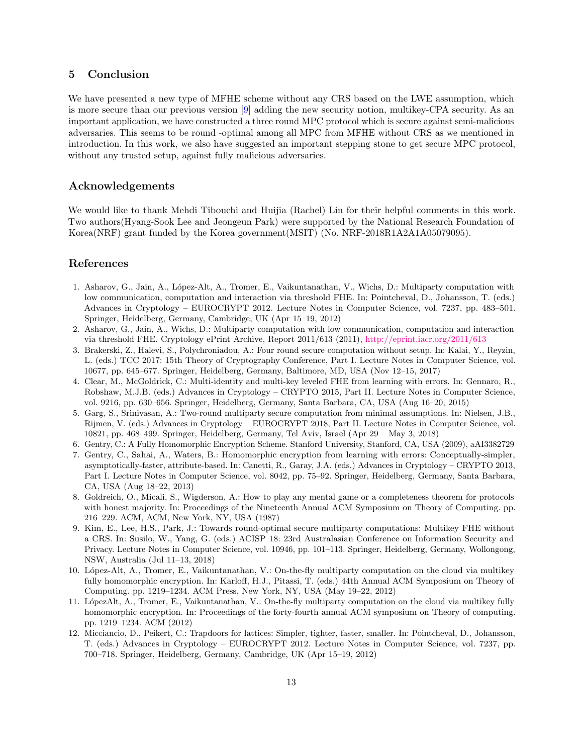## 5 Conclusion

We have presented a new type of MFHE scheme without any CRS based on the LWE assumption, which is more secure than our previous version [\[9\]](#page-12-6) adding the new security notion, multikey-CPA security. As an important application, we have constructed a three round MPC protocol which is secure against semi-malicious adversaries. This seems to be round -optimal among all MPC from MFHE without CRS as we mentioned in introduction. In this work, we also have suggested an important stepping stone to get secure MPC protocol, without any trusted setup, against fully malicious adversaries.

## Acknowledgements

We would like to thank Mehdi Tibouchi and Huijia (Rachel) Lin for their helpful comments in this work. Two authors(Hyang-Sook Lee and Jeongeun Park) were supported by the National Research Foundation of Korea(NRF) grant funded by the Korea government(MSIT) (No. NRF-2018R1A2A1A05079095).

## References

- <span id="page-12-11"></span>1. Asharov, G., Jain, A., L´opez-Alt, A., Tromer, E., Vaikuntanathan, V., Wichs, D.: Multiparty computation with low communication, computation and interaction via threshold FHE. In: Pointcheval, D., Johansson, T. (eds.) Advances in Cryptology – EUROCRYPT 2012. Lecture Notes in Computer Science, vol. 7237, pp. 483–501. Springer, Heidelberg, Germany, Cambridge, UK (Apr 15–19, 2012)
- <span id="page-12-10"></span>2. Asharov, G., Jain, A., Wichs, D.: Multiparty computation with low communication, computation and interaction via threshold FHE. Cryptology ePrint Archive, Report 2011/613 (2011), <http://eprint.iacr.org/2011/613>
- <span id="page-12-4"></span>3. Brakerski, Z., Halevi, S., Polychroniadou, A.: Four round secure computation without setup. In: Kalai, Y., Reyzin, L. (eds.) TCC 2017: 15th Theory of Cryptography Conference, Part I. Lecture Notes in Computer Science, vol. 10677, pp. 645–677. Springer, Heidelberg, Germany, Baltimore, MD, USA (Nov 12–15, 2017)
- <span id="page-12-3"></span>4. Clear, M., McGoldrick, C.: Multi-identity and multi-key leveled FHE from learning with errors. In: Gennaro, R., Robshaw, M.J.B. (eds.) Advances in Cryptology – CRYPTO 2015, Part II. Lecture Notes in Computer Science, vol. 9216, pp. 630–656. Springer, Heidelberg, Germany, Santa Barbara, CA, USA (Aug 16–20, 2015)
- <span id="page-12-5"></span>5. Garg, S., Srinivasan, A.: Two-round multiparty secure computation from minimal assumptions. In: Nielsen, J.B., Rijmen, V. (eds.) Advances in Cryptology – EUROCRYPT 2018, Part II. Lecture Notes in Computer Science, vol. 10821, pp. 468–499. Springer, Heidelberg, Germany, Tel Aviv, Israel (Apr 29 – May 3, 2018)
- <span id="page-12-0"></span>6. Gentry, C.: A Fully Homomorphic Encryption Scheme. Stanford University, Stanford, CA, USA (2009), aAI3382729
- <span id="page-12-8"></span>7. Gentry, C., Sahai, A., Waters, B.: Homomorphic encryption from learning with errors: Conceptually-simpler, asymptotically-faster, attribute-based. In: Canetti, R., Garay, J.A. (eds.) Advances in Cryptology – CRYPTO 2013, Part I. Lecture Notes in Computer Science, vol. 8042, pp. 75–92. Springer, Heidelberg, Germany, Santa Barbara, CA, USA (Aug 18–22, 2013)
- <span id="page-12-2"></span>8. Goldreich, O., Micali, S., Wigderson, A.: How to play any mental game or a completeness theorem for protocols with honest majority. In: Proceedings of the Nineteenth Annual ACM Symposium on Theory of Computing. pp. 216–229. ACM, ACM, New York, NY, USA (1987)
- <span id="page-12-6"></span>9. Kim, E., Lee, H.S., Park, J.: Towards round-optimal secure multiparty computations: Multikey FHE without a CRS. In: Susilo, W., Yang, G. (eds.) ACISP 18: 23rd Australasian Conference on Information Security and Privacy. Lecture Notes in Computer Science, vol. 10946, pp. 101–113. Springer, Heidelberg, Germany, Wollongong, NSW, Australia (Jul 11–13, 2018)
- <span id="page-12-1"></span>10. L´opez-Alt, A., Tromer, E., Vaikuntanathan, V.: On-the-fly multiparty computation on the cloud via multikey fully homomorphic encryption. In: Karloff, H.J., Pitassi, T. (eds.) 44th Annual ACM Symposium on Theory of Computing. pp. 1219–1234. ACM Press, New York, NY, USA (May 19–22, 2012)
- <span id="page-12-7"></span>11. LópezAlt, A., Tromer, E., Vaikuntanathan, V.: On-the-fly multiparty computation on the cloud via multikey fully homomorphic encryption. In: Proceedings of the forty-fourth annual ACM symposium on Theory of computing. pp. 1219–1234. ACM (2012)
- <span id="page-12-9"></span>12. Micciancio, D., Peikert, C.: Trapdoors for lattices: Simpler, tighter, faster, smaller. In: Pointcheval, D., Johansson, T. (eds.) Advances in Cryptology – EUROCRYPT 2012. Lecture Notes in Computer Science, vol. 7237, pp. 700–718. Springer, Heidelberg, Germany, Cambridge, UK (Apr 15–19, 2012)